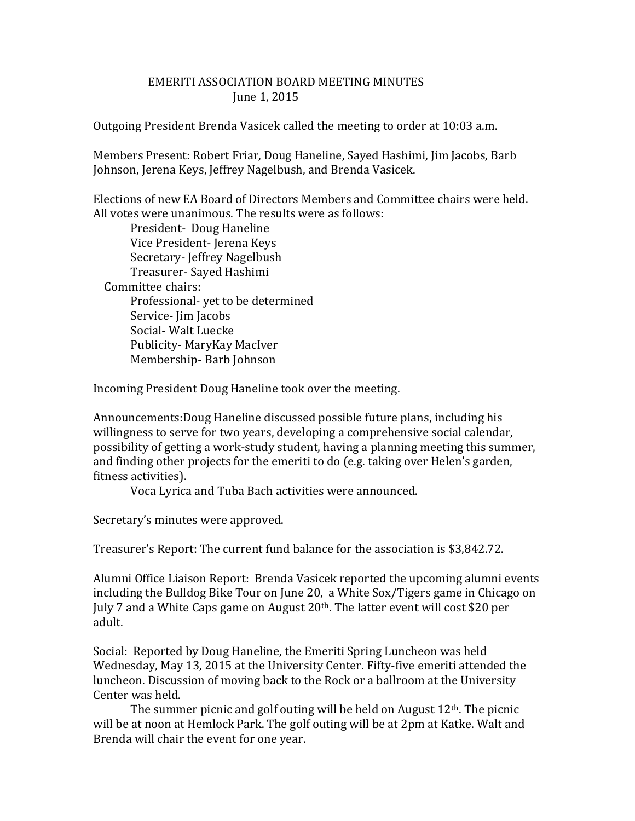## EMERITI ASSOCIATION BOARD MEETING MINUTES June 1, 2015

Outgoing President Brenda Vasicek called the meeting to order at 10:03 a.m.

Members Present: Robert Friar, Doug Haneline, Sayed Hashimi, Jim Jacobs, Barb Johnson, Jerena Keys, Jeffrey Nagelbush, and Brenda Vasicek.

Elections of new EA Board of Directors Members and Committee chairs were held. All votes were unanimous. The results were as follows:

President- Doug Haneline Vice President- Jerena Keys Secretary- Jeffrey Nagelbush Treasurer- Sayed Hashimi Committee chairs: Professional- yet to be determined Service- Jim Jacobs Social- Walt Luecke Publicity- MaryKay MacIver Membership- Barb Johnson

Incoming President Doug Haneline took over the meeting.

Announcements:Doug Haneline discussed possible future plans, including his willingness to serve for two years, developing a comprehensive social calendar, possibility of getting a work-study student, having a planning meeting this summer, and finding other projects for the emeriti to do (e.g. taking over Helen's garden, fitness activities).

Voca Lyrica and Tuba Bach activities were announced.

Secretary's minutes were approved.

Treasurer's Report: The current fund balance for the association is \$3,842.72.

Alumni Office Liaison Report: Brenda Vasicek reported the upcoming alumni events including the Bulldog Bike Tour on June 20, a White Sox/Tigers game in Chicago on July 7 and a White Caps game on August 20<sup>th</sup>. The latter event will cost \$20 per adult.

Social: Reported by Doug Haneline, the Emeriti Spring Luncheon was held Wednesday, May 13, 2015 at the University Center. Fifty-five emeriti attended the luncheon. Discussion of moving back to the Rock or a ballroom at the University Center was held.

The summer picnic and golf outing will be held on August  $12<sup>th</sup>$ . The picnic will be at noon at Hemlock Park. The golf outing will be at 2pm at Katke. Walt and Brenda will chair the event for one year.